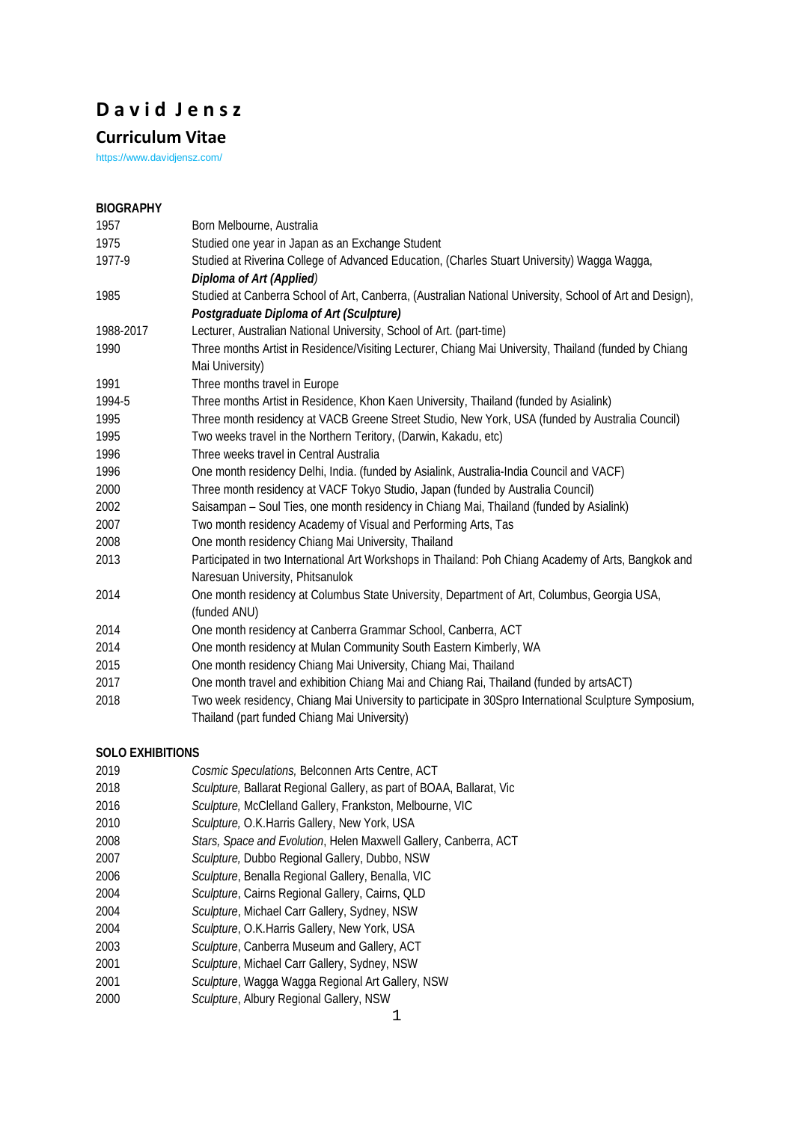# **D a v i d J e n s z**

## **Curriculum Vitae**

https://www.davidjensz.com/

## **BIOGRAPHY**

| 1957      | Born Melbourne, Australia                                                                                |
|-----------|----------------------------------------------------------------------------------------------------------|
| 1975      | Studied one year in Japan as an Exchange Student                                                         |
| 1977-9    | Studied at Riverina College of Advanced Education, (Charles Stuart University) Wagga Wagga,              |
|           | Diploma of Art (Applied)                                                                                 |
| 1985      | Studied at Canberra School of Art, Canberra, (Australian National University, School of Art and Design), |
|           | Postgraduate Diploma of Art (Sculpture)                                                                  |
| 1988-2017 | Lecturer, Australian National University, School of Art. (part-time)                                     |
| 1990      | Three months Artist in Residence/Visiting Lecturer, Chiang Mai University, Thailand (funded by Chiang    |
|           | Mai University)                                                                                          |
| 1991      | Three months travel in Europe                                                                            |
| 1994-5    | Three months Artist in Residence, Khon Kaen University, Thailand (funded by Asialink)                    |
| 1995      | Three month residency at VACB Greene Street Studio, New York, USA (funded by Australia Council)          |
| 1995      | Two weeks travel in the Northern Teritory, (Darwin, Kakadu, etc)                                         |
| 1996      | Three weeks travel in Central Australia                                                                  |
| 1996      | One month residency Delhi, India. (funded by Asialink, Australia-India Council and VACF)                 |
| 2000      | Three month residency at VACF Tokyo Studio, Japan (funded by Australia Council)                          |
| 2002      | Saisampan - Soul Ties, one month residency in Chiang Mai, Thailand (funded by Asialink)                  |
| 2007      | Two month residency Academy of Visual and Performing Arts, Tas                                           |
| 2008      | One month residency Chiang Mai University, Thailand                                                      |
| 2013      | Participated in two International Art Workshops in Thailand: Poh Chiang Academy of Arts, Bangkok and     |
|           | Naresuan University, Phitsanulok                                                                         |
| 2014      | One month residency at Columbus State University, Department of Art, Columbus, Georgia USA,              |
|           | (funded ANU)                                                                                             |
| 2014      | One month residency at Canberra Grammar School, Canberra, ACT                                            |
| 2014      | One month residency at Mulan Community South Eastern Kimberly, WA                                        |
| 2015      | One month residency Chiang Mai University, Chiang Mai, Thailand                                          |
| 2017      | One month travel and exhibition Chiang Mai and Chiang Rai, Thailand (funded by artsACT)                  |
| 2018      | Two week residency, Chiang Mai University to participate in 30Spro International Sculpture Symposium,    |
|           | Thailand (part funded Chiang Mai University)                                                             |

## **SOLO EXHIBITIONS**

- *Cosmic Speculations,* Belconnen Arts Centre, ACT
- *Sculpture,* Ballarat Regional Gallery, as part of BOAA, Ballarat, Vic
- *Sculpture,* McClelland Gallery, Frankston, Melbourne, VIC
- *Sculpture,* O.K.Harris Gallery, New York, USA
- *Stars, Space and Evolution*, Helen Maxwell Gallery, Canberra, ACT
- *Sculpture,* Dubbo Regional Gallery, Dubbo, NSW
- *Sculpture*, Benalla Regional Gallery, Benalla, VIC
- *Sculpture*, Cairns Regional Gallery, Cairns, QLD
- *Sculpture*, Michael Carr Gallery, Sydney, NSW
- *Sculpture*, O.K.Harris Gallery, New York, USA
- *Sculpture*, Canberra Museum and Gallery, ACT
- *Sculpture*, Michael Carr Gallery, Sydney, NSW
- *Sculpture*, Wagga Wagga Regional Art Gallery, NSW
- *Sculpture*, Albury Regional Gallery, NSW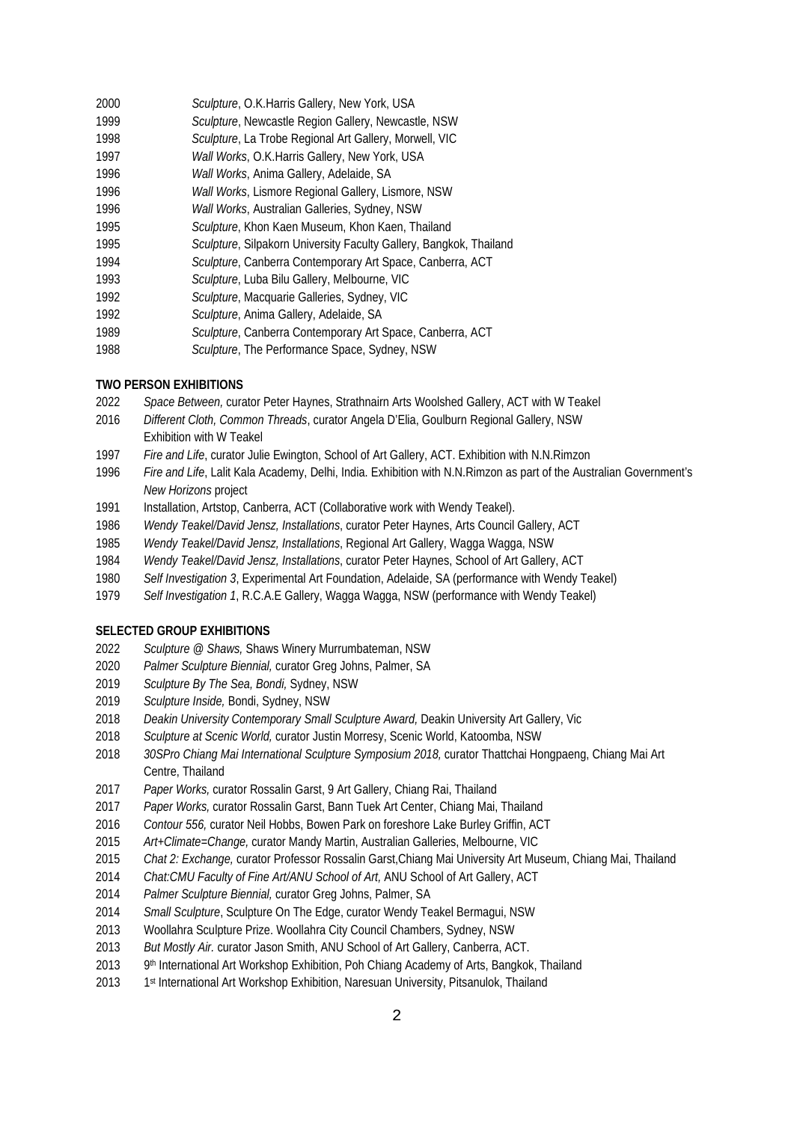- *Sculpture*, O.K.Harris Gallery, New York, USA
- *Sculpture*, Newcastle Region Gallery, Newcastle, NSW
- *Sculpture*, La Trobe Regional Art Gallery, Morwell, VIC
- *Wall Works*, O.K.Harris Gallery, New York, USA
- *Wall Works*, Anima Gallery, Adelaide, SA
- *Wall Works*, Lismore Regional Gallery, Lismore, NSW
- *Wall Works*, Australian Galleries, Sydney, NSW
- *Sculpture*, Khon Kaen Museum, Khon Kaen, Thailand
- *Sculpture*, Silpakorn University Faculty Gallery, Bangkok, Thailand
- *Sculpture*, Canberra Contemporary Art Space, Canberra, ACT
- *Sculpture*, Luba Bilu Gallery, Melbourne, VIC
- *Sculpture*, Macquarie Galleries, Sydney, VIC
- *Sculpture*, Anima Gallery, Adelaide, SA
- *Sculpture*, Canberra Contemporary Art Space, Canberra, ACT
- *Sculpture*, The Performance Space, Sydney, NSW

## **TWO PERSON EXHIBITIONS**

- *Space Between,* curator Peter Haynes, Strathnairn Arts Woolshed Gallery, ACT with W Teakel
- *Different Cloth, Common Threads*, curator Angela D'Elia, Goulburn Regional Gallery, NSW Exhibition with W Teakel
- *Fire and Life*, curator Julie Ewington, School of Art Gallery, ACT. Exhibition with N.N.Rimzon
- *Fire and Life*, Lalit Kala Academy, Delhi, India. Exhibition with N.N.Rimzon as part of the Australian Government's *New Horizons* project
- Installation, Artstop, Canberra, ACT (Collaborative work with Wendy Teakel).
- *Wendy Teakel/David Jensz, Installations*, curator Peter Haynes, Arts Council Gallery, ACT
- *Wendy Teakel/David Jensz, Installations*, Regional Art Gallery, Wagga Wagga, NSW
- *Wendy Teakel/David Jensz, Installations*, curator Peter Haynes, School of Art Gallery, ACT
- *Self Investigation 3*, Experimental Art Foundation, Adelaide, SA (performance with Wendy Teakel)
- *Self Investigation 1*, R.C.A.E Gallery, Wagga Wagga, NSW (performance with Wendy Teakel)

#### **SELECTED GROUP EXHIBITIONS**

- *Sculpture @ Shaws,* Shaws Winery Murrumbateman, NSW
- *Palmer Sculpture Biennial,* curator Greg Johns, Palmer, SA
- *Sculpture By The Sea, Bondi,* Sydney, NSW
- *Sculpture Inside,* Bondi, Sydney, NSW
- *Deakin University Contemporary Small Sculpture Award,* Deakin University Art Gallery, Vic
- *Sculpture at Scenic World,* curator Justin Morresy, Scenic World, Katoomba, NSW
- *30SPro Chiang Mai International Sculpture Symposium 2018,* curator Thattchai Hongpaeng, Chiang Mai Art Centre, Thailand
- *Paper Works,* curator Rossalin Garst, 9 Art Gallery, Chiang Rai, Thailand
- *Paper Works,* curator Rossalin Garst, Bann Tuek Art Center, Chiang Mai, Thailand
- *Contour 556,* curator Neil Hobbs, Bowen Park on foreshore Lake Burley Griffin, ACT
- *Art+Climate=Change,* curator Mandy Martin, Australian Galleries, Melbourne, VIC
- *Chat 2: Exchange,* curator Professor Rossalin Garst,Chiang Mai University Art Museum, Chiang Mai, Thailand
- *Chat:CMU Faculty of Fine Art/ANU School of Art,* ANU School of Art Gallery, ACT
- *Palmer Sculpture Biennial,* curator Greg Johns, Palmer, SA
- *Small Sculpture*, Sculpture On The Edge, curator Wendy Teakel Bermagui, NSW
- Woollahra Sculpture Prize. Woollahra City Council Chambers, Sydney, NSW
- *But Mostly Air.* curator Jason Smith, ANU School of Art Gallery, Canberra, ACT.
- 9th International Art Workshop Exhibition, Poh Chiang Academy of Arts, Bangkok, Thailand
- 2013 1st International Art Workshop Exhibition, Naresuan University, Pitsanulok, Thailand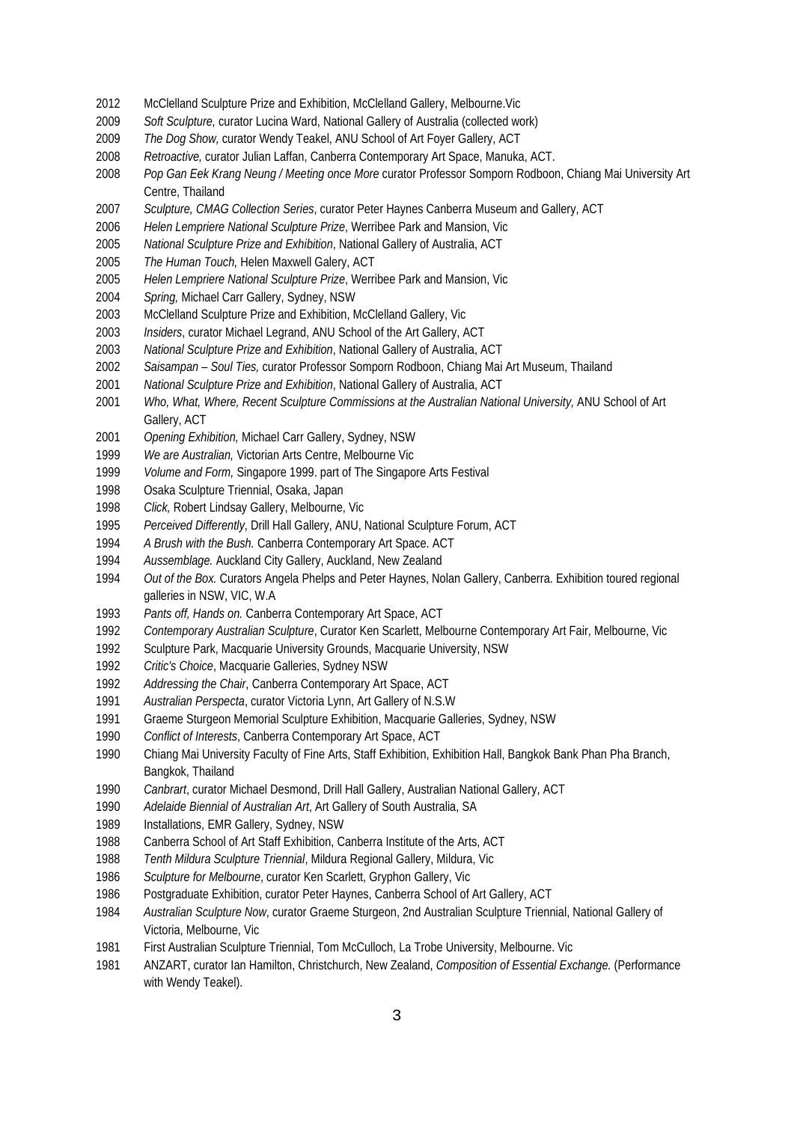- 2012 McClelland Sculpture Prize and Exhibition, McClelland Gallery, Melbourne. Vic
- *Soft Sculpture,* curator Lucina Ward, National Gallery of Australia (collected work)
- *The Dog Show,* curator Wendy Teakel, ANU School of Art Foyer Gallery, ACT
- *Retroactive,* curator Julian Laffan, Canberra Contemporary Art Space, Manuka, ACT.
- *Pop Gan Eek Krang Neung / Meeting once More* curator Professor Somporn Rodboon, Chiang Mai University Art Centre, Thailand
- *Sculpture, CMAG Collection Series*, curator Peter Haynes Canberra Museum and Gallery, ACT
- *Helen Lempriere National Sculpture Prize*, Werribee Park and Mansion, Vic
- *National Sculpture Prize and Exhibition*, National Gallery of Australia, ACT
- *The Human Touch,* Helen Maxwell Galery, ACT
- *Helen Lempriere National Sculpture Prize*, Werribee Park and Mansion, Vic
- *Spring,* Michael Carr Gallery, Sydney, NSW
- McClelland Sculpture Prize and Exhibition, McClelland Gallery, Vic
- *Insiders*, curator Michael Legrand, ANU School of the Art Gallery, ACT
- *National Sculpture Prize and Exhibition*, National Gallery of Australia, ACT
- *Saisampan – Soul Ties,* curator Professor Somporn Rodboon, Chiang Mai Art Museum, Thailand
- *National Sculpture Prize and Exhibition*, National Gallery of Australia, ACT
- *Who, What, Where, Recent Sculpture Commissions at the Australian National University,* ANU School of Art Gallery, ACT
- *Opening Exhibition,* Michael Carr Gallery, Sydney, NSW
- *We are Australian,* Victorian Arts Centre, Melbourne Vic
- *Volume and Form,* Singapore 1999. part of The Singapore Arts Festival
- Osaka Sculpture Triennial, Osaka, Japan
- *Click,* Robert Lindsay Gallery, Melbourne, Vic
- *Perceived Differently*, Drill Hall Gallery, ANU, National Sculpture Forum, ACT
- *A Brush with the Bush.* Canberra Contemporary Art Space. ACT
- *Aussemblage.* Auckland City Gallery, Auckland, New Zealand
- *Out of the Box.* Curators Angela Phelps and Peter Haynes, Nolan Gallery, Canberra. Exhibition toured regional galleries in NSW, VIC, W.A
- *Pants off, Hands on.* Canberra Contemporary Art Space, ACT
- *Contemporary Australian Sculpture*, Curator Ken Scarlett, Melbourne Contemporary Art Fair, Melbourne, Vic
- Sculpture Park, Macquarie University Grounds, Macquarie University, NSW
- *Critic's Choice*, Macquarie Galleries, Sydney NSW
- *Addressing the Chair*, Canberra Contemporary Art Space, ACT
- *Australian Perspecta*, curator Victoria Lynn, Art Gallery of N.S.W
- Graeme Sturgeon Memorial Sculpture Exhibition, Macquarie Galleries, Sydney, NSW
- *Conflict of Interests*, Canberra Contemporary Art Space, ACT
- Chiang Mai University Faculty of Fine Arts, Staff Exhibition, Exhibition Hall, Bangkok Bank Phan Pha Branch, Bangkok, Thailand
- *Canbrart*, curator Michael Desmond, Drill Hall Gallery, Australian National Gallery, ACT
- *Adelaide Biennial of Australian Art*, Art Gallery of South Australia, SA
- 1989 Installations, EMR Gallery, Sydney, NSW
- Canberra School of Art Staff Exhibition, Canberra Institute of the Arts, ACT
- *Tenth Mildura Sculpture Triennial*, Mildura Regional Gallery, Mildura, Vic
- *Sculpture for Melbourne*, curator Ken Scarlett, Gryphon Gallery, Vic
- Postgraduate Exhibition, curator Peter Haynes, Canberra School of Art Gallery, ACT
- *Australian Sculpture Now*, curator Graeme Sturgeon, 2nd Australian Sculpture Triennial, National Gallery of Victoria, Melbourne, Vic
- First Australian Sculpture Triennial, Tom McCulloch, La Trobe University, Melbourne. Vic
- ANZART, curator Ian Hamilton, Christchurch, New Zealand, *Composition of Essential Exchange.* (Performance with Wendy Teakel).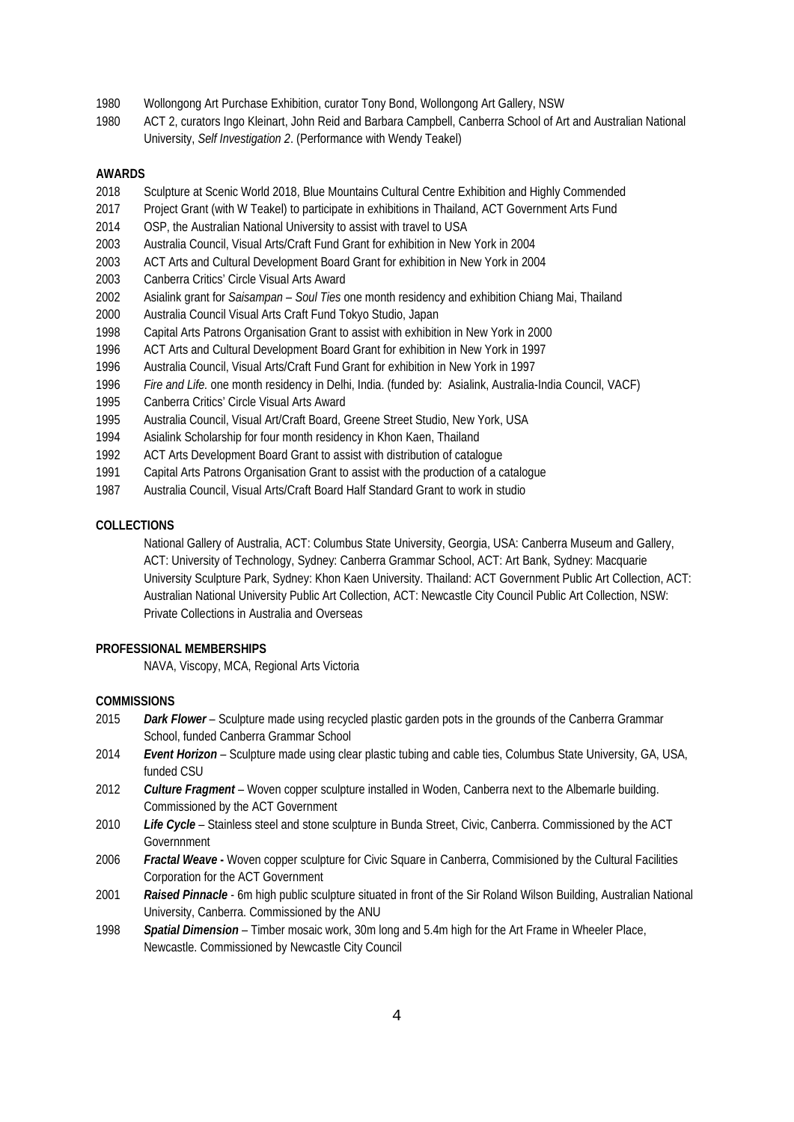- Wollongong Art Purchase Exhibition, curator Tony Bond, Wollongong Art Gallery, NSW
- ACT 2, curators Ingo Kleinart, John Reid and Barbara Campbell, Canberra School of Art and Australian National University, *Self Investigation 2*. (Performance with Wendy Teakel)

#### **AWARDS**

- Sculpture at Scenic World 2018, Blue Mountains Cultural Centre Exhibition and Highly Commended
- Project Grant (with W Teakel) to participate in exhibitions in Thailand, ACT Government Arts Fund
- OSP, the Australian National University to assist with travel to USA
- Australia Council, Visual Arts/Craft Fund Grant for exhibition in New York in 2004
- ACT Arts and Cultural Development Board Grant for exhibition in New York in 2004
- Canberra Critics' Circle Visual Arts Award
- Asialink grant for *Saisampan – Soul Ties* one month residency and exhibition Chiang Mai, Thailand
- Australia Council Visual Arts Craft Fund Tokyo Studio, Japan
- Capital Arts Patrons Organisation Grant to assist with exhibition in New York in 2000
- ACT Arts and Cultural Development Board Grant for exhibition in New York in 1997
- Australia Council, Visual Arts/Craft Fund Grant for exhibition in New York in 1997
- *Fire and Life.* one month residency in Delhi, India. (funded by: Asialink, Australia-India Council, VACF)
- Canberra Critics' Circle Visual Arts Award
- Australia Council, Visual Art/Craft Board, Greene Street Studio, New York, USA
- Asialink Scholarship for four month residency in Khon Kaen, Thailand
- ACT Arts Development Board Grant to assist with distribution of catalogue
- Capital Arts Patrons Organisation Grant to assist with the production of a catalogue
- Australia Council, Visual Arts/Craft Board Half Standard Grant to work in studio

#### **COLLECTIONS**

National Gallery of Australia, ACT: Columbus State University, Georgia, USA: Canberra Museum and Gallery, ACT: University of Technology, Sydney: Canberra Grammar School, ACT: Art Bank, Sydney: Macquarie University Sculpture Park, Sydney: Khon Kaen University. Thailand: ACT Government Public Art Collection, ACT: Australian National University Public Art Collection, ACT: Newcastle City Council Public Art Collection, NSW: Private Collections in Australia and Overseas

## **PROFESSIONAL MEMBERSHIPS**

NAVA, Viscopy, MCA, Regional Arts Victoria

#### **COMMISSIONS**

- *Dark Flower* Sculpture made using recycled plastic garden pots in the grounds of the Canberra Grammar School, funded Canberra Grammar School
- *Event Horizon* Sculpture made using clear plastic tubing and cable ties, Columbus State University, GA, USA, funded CSU
- *Culture Fragment* Woven copper sculpture installed in Woden, Canberra next to the Albemarle building. Commissioned by the ACT Government
- *Life Cycle*  Stainless steel and stone sculpture in Bunda Street, Civic, Canberra. Commissioned by the ACT **Governnment**
- *Fractal Weave* **-** Woven copper sculpture for Civic Square in Canberra, Commisioned by the Cultural Facilities Corporation for the ACT Government
- *Raised Pinnacle* 6m high public sculpture situated in front of the Sir Roland Wilson Building, Australian National University, Canberra. Commissioned by the ANU
- *Spatial Dimension* Timber mosaic work, 30m long and 5.4m high for the Art Frame in Wheeler Place, Newcastle. Commissioned by Newcastle City Council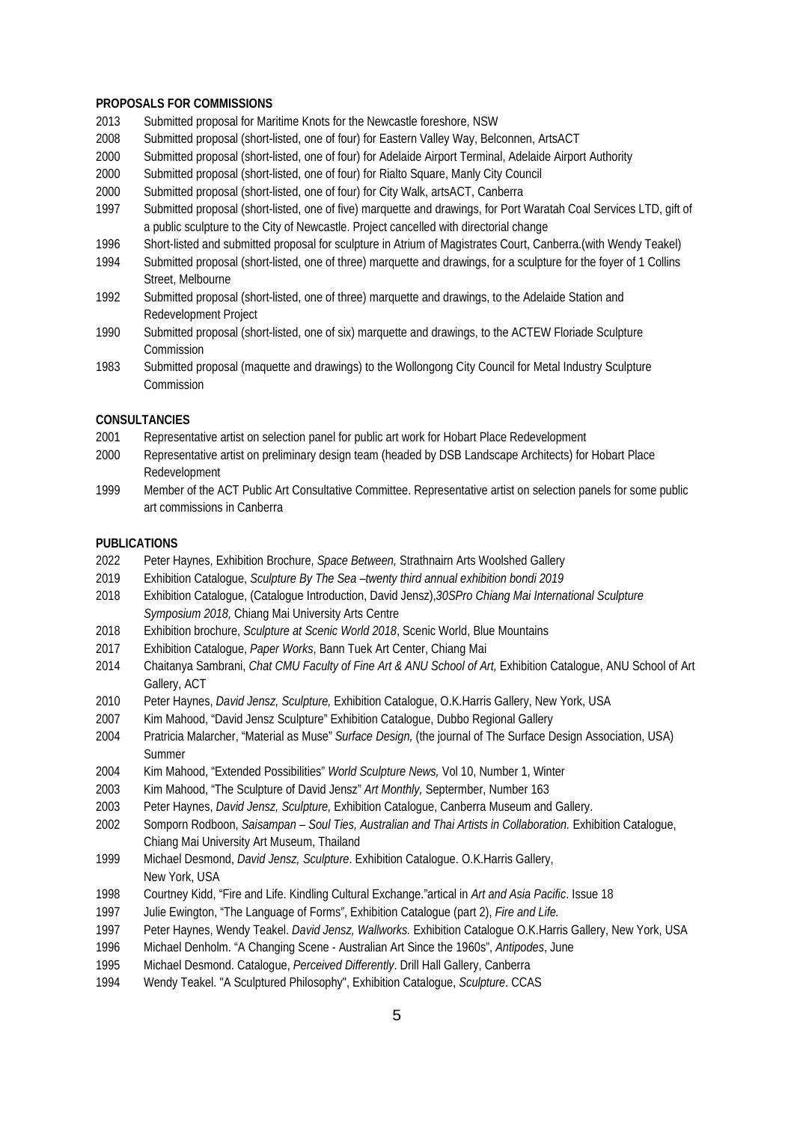#### **PROPOSALS FOR COMMISSIONS**

- Submitted proposal for Maritime Knots for the Newcastle foreshore, NSW
- Submitted proposal (short-listed, one of four) for Eastern Valley Way, Belconnen, ArtsACT
- Submitted proposal (short-listed, one of four) for Adelaide Airport Terminal, Adelaide Airport Authority
- Submitted proposal (short-listed, one of four) for Rialto Square, Manly City Council
- Submitted proposal (short-listed, one of four) for City Walk, artsACT, Canberra
- Submitted proposal (short-listed, one of five) marquette and drawings, for Port Waratah Coal Services LTD, gift of a public sculpture to the City of Newcastle. Project cancelled with directorial change
- Short-listed and submitted proposal for sculpture in Atrium of Magistrates Court, Canberra.(with Wendy Teakel)
- Submitted proposal (short-listed, one of three) marquette and drawings, for a sculpture for the foyer of 1 Collins Street, Melbourne
- Submitted proposal (short-listed, one of three) marquette and drawings, to the Adelaide Station and Redevelopment Project
- Submitted proposal (short-listed, one of six) marquette and drawings, to the ACTEW Floriade Sculpture Commission
- Submitted proposal (maquette and drawings) to the Wollongong City Council for Metal Industry Sculpture Commission

## **CONSULTANCIES**

- Representative artist on selection panel for public art work for Hobart Place Redevelopment
- Representative artist on preliminary design team (headed by DSB Landscape Architects) for Hobart Place Redevelopment
- Member of the ACT Public Art Consultative Committee. Representative artist on selection panels for some public art commissions in Canberra

#### **PUBLICATIONS**

- Peter Haynes, Exhibition Brochure, *Space Between,* Strathnairn Arts Woolshed Gallery
- Exhibition Catalogue, *Sculpture By The Sea –twenty third annual exhibition bondi 2019*
- Exhibition Catalogue, (Catalogue Introduction, David Jensz),*30SPro Chiang Mai International Sculpture Symposium 2018,* Chiang Mai University Arts Centre
- Exhibition brochure, *Sculpture at Scenic World 2018*, Scenic World, Blue Mountains
- Exhibition Catalogue, *Paper Works*, Bann Tuek Art Center, Chiang Mai
- Chaitanya Sambrani, *Chat CMU Faculty of Fine Art & ANU School of Art,* Exhibition Catalogue, ANU School of Art Gallery, ACT
- Peter Haynes, *David Jensz, Sculpture,* Exhibition Catalogue, O.K.Harris Gallery, New York, USA
- Kim Mahood, "David Jensz Sculpture" Exhibition Catalogue, Dubbo Regional Gallery
- Pratricia Malarcher, "Material as Muse" *Surface Design,* (the journal of The Surface Design Association, USA) Summer
- Kim Mahood, "Extended Possibilities" *World Sculpture News,* Vol 10, Number 1, Winter
- Kim Mahood, "The Sculpture of David Jensz" *Art Monthly,* Septermber, Number 163
- Peter Haynes, *David Jensz, Sculpture,* Exhibition Catalogue, Canberra Museum and Gallery.
- Somporn Rodboon, *Saisampan – Soul Ties, Australian and Thai Artists in Collaboration.* Exhibition Catalogue, Chiang Mai University Art Museum, Thailand
- Michael Desmond, *David Jensz, Sculpture*. Exhibition Catalogue. O.K.Harris Gallery, New York, USA
- Courtney Kidd, "Fire and Life. Kindling Cultural Exchange."artical in *Art and Asia Pacific*. Issue 18
- Julie Ewington, "The Language of Forms", Exhibition Catalogue (part 2), *Fire and Life.*
- Peter Haynes, Wendy Teakel. *David Jensz, Wallworks.* Exhibition Catalogue O.K.Harris Gallery, New York, USA
- Michael Denholm. "A Changing Scene Australian Art Since the 1960s", *Antipodes*, June
- Michael Desmond. Catalogue, *Perceived Differently*. Drill Hall Gallery, Canberra
- Wendy Teakel. "A Sculptured Philosophy", Exhibition Catalogue, *Sculpture*. CCAS